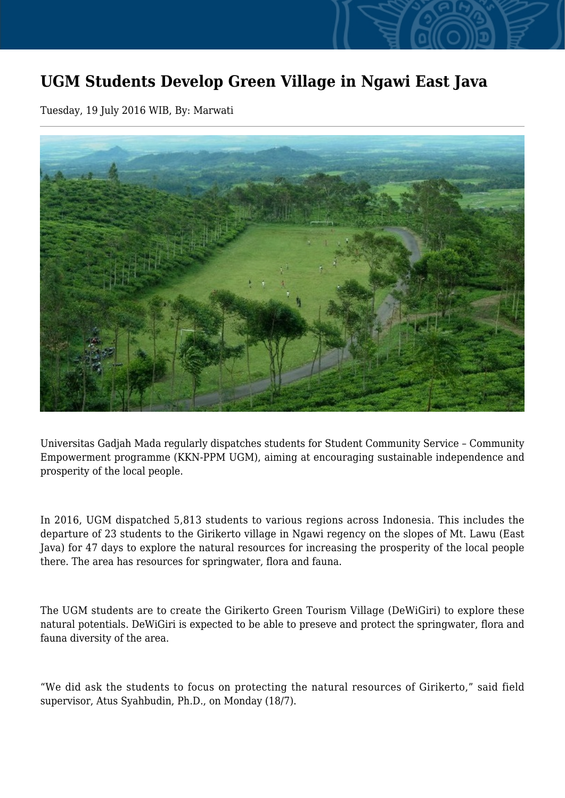## **UGM Students Develop Green Village in Ngawi East Java**

Tuesday, 19 July 2016 WIB, By: Marwati



Universitas Gadjah Mada regularly dispatches students for Student Community Service – Community Empowerment programme (KKN-PPM UGM), aiming at encouraging sustainable independence and prosperity of the local people.

In 2016, UGM dispatched 5,813 students to various regions across Indonesia. This includes the departure of 23 students to the Girikerto village in Ngawi regency on the slopes of Mt. Lawu (East Java) for 47 days to explore the natural resources for increasing the prosperity of the local people there. The area has resources for springwater, flora and fauna.

The UGM students are to create the Girikerto Green Tourism Village (DeWiGiri) to explore these natural potentials. DeWiGiri is expected to be able to preseve and protect the springwater, flora and fauna diversity of the area.

"We did ask the students to focus on protecting the natural resources of Girikerto," said field supervisor, Atus Syahbudin, Ph.D., on Monday (18/7).